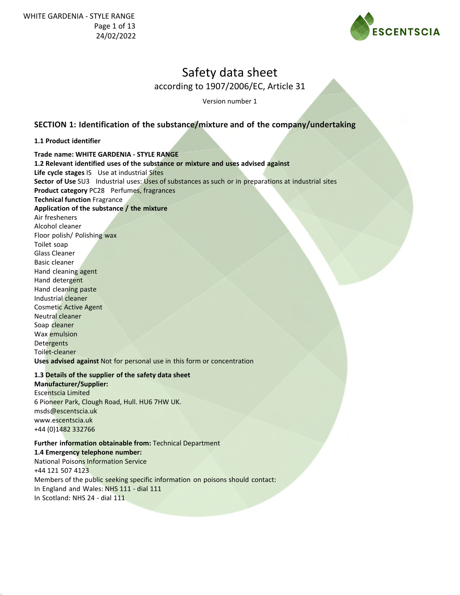

according to 1907/2006/EC, Article 31

Version number 1

### **SECTION 1: Identification of the substance/mixture and of the company/undertaking**

#### **1.1 Product identifier**

**Trade name: WHITE GARDENIA - STYLE RANGE 1.2 Relevant identified uses of the substance or mixture and uses advised against Life cycle stages** IS Use at industrial Sites **Sector of Use** SU3 Industrial uses: Uses of substances as such or in preparations at industrial sites **Product category** PC28 Perfumes, fragrances **Technical function** Fragrance **Application of the substance / the mixture** Air fresheners Alcohol cleaner Floor polish/ Polishing wax Toilet soap Glass Cleaner Basic cleaner Hand cleaning agent Hand detergent Hand cleaning paste Industrial cleaner Cosmetic Active Agent Neutral cleaner Soap cleaner Wax emulsion **Detergents** Toilet-cleaner **Uses advised against** Not for personal use in this form or concentration

#### **1.3 Details of the supplier of the safety data sheet**

**Manufacturer/Supplier:** Escentscia Limited 6 Pioneer Park, Clough Road, Hull. HU6 7HW UK. msds@escentscia.uk www.escentscia.uk +44 (0)1482 332766

### **Further information obtainable from:** Technical Department

**1.4 Emergency telephone number:** National Poisons Information Service +44 121 507 4123 Members of the public seeking specific information on poisons should contact: In England and Wales: NHS 111 - dial 111 In Scotland: NHS 24 - dial 111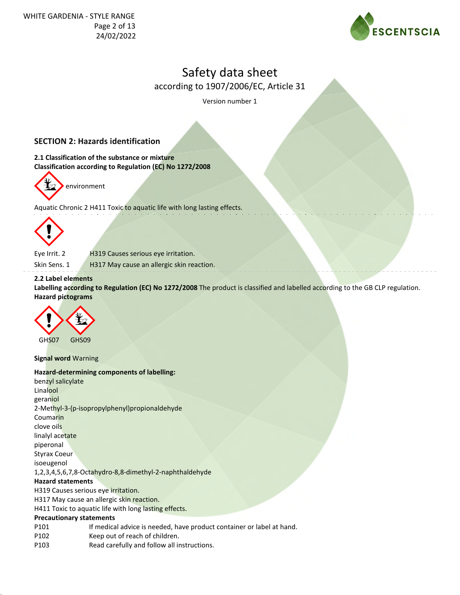

according to 1907/2006/EC, Article 31

Version number 1

### **SECTION 2: Hazards identification**

**2.1 Classification of the substance or mixture Classification according to Regulation (EC) No 1272/2008**



Aquatic Chronic 2 H411 Toxic to aquatic life with long lasting effects.



Eye Irrit. 2 H319 Causes serious eye irritation.

Skin Sens. 1 H317 May cause an allergic skin reaction.

#### **2.2 Label elements**

**Labelling according to Regulation (EC) No 1272/2008** The product is classified and labelled according to the GB CLP regulation. **Hazard pictograms**



**Signal word** Warning

#### **Hazard-determining components of labelling:**

benzyl salicylate Linalool geraniol 2-Methyl-3-(p-isopropylphenyl)propionaldehyde Coumarin clove oils linalyl acetate piperonal Styrax Coeur isoeugenol 1,2,3,4,5,6,7,8-Octahydro-8,8-dimethyl-2-naphthaldehyde **Hazard statements** H319 Causes serious eye irritation. H317 May cause an allergic skin reaction. H411 Toxic to aquatic life with long lasting effects. **Precautionary statements** P101 If medical advice is needed, have product container or label at hand.

- P102 Keep out of reach of children.
- P103 Read carefully and follow all instructions.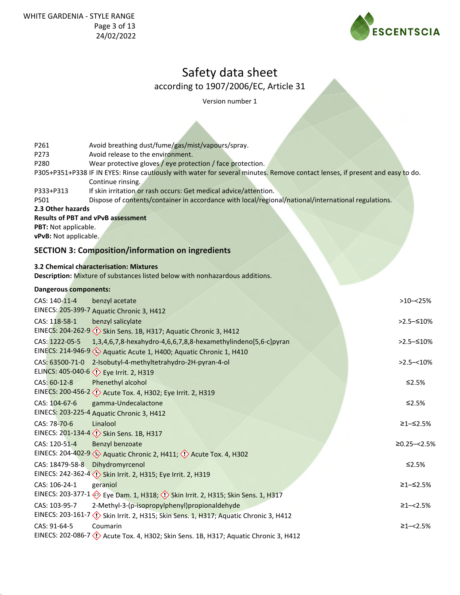

according to 1907/2006/EC, Article 31

Version number 1

| P261<br>P273<br>P280                                                                                            | Avoid breathing dust/fume/gas/mist/vapours/spray.<br>Avoid release to the environment.<br>Wear protective gloves / eye protection / face protection.                    |                  |
|-----------------------------------------------------------------------------------------------------------------|-------------------------------------------------------------------------------------------------------------------------------------------------------------------------|------------------|
|                                                                                                                 | P305+P351+P338 IF IN EYES: Rinse cautiously with water for several minutes. Remove contact lenses, if present and easy to do.<br>Continue rinsing.                      |                  |
| P333+P313<br>P501                                                                                               | If skin irritation or rash occurs: Get medical advice/attention.<br>Dispose of contents/container in accordance with local/regional/national/international regulations. |                  |
| 2.3 Other hazards<br><b>Results of PBT and vPvB assessment</b><br>PBT: Not applicable.<br>vPvB: Not applicable. |                                                                                                                                                                         |                  |
|                                                                                                                 | <b>SECTION 3: Composition/information on ingredients</b>                                                                                                                |                  |
|                                                                                                                 | 3.2 Chemical characterisation: Mixtures<br>Description: Mixture of substances listed below with nonhazardous additions.                                                 |                  |
| Dangerous components:                                                                                           |                                                                                                                                                                         |                  |
| CAS: 140-11-4                                                                                                   | benzyl acetate<br>EINECS: 205-399-7 Aquatic Chronic 3, H412                                                                                                             | $>10 - 25%$      |
| CAS: 118-58-1                                                                                                   | benzyl salicylate<br>EINECS: 204-262-9 <<()Skin Sens. 1B, H317; Aquatic Chronic 3, H412                                                                                 | $>2.5-510%$      |
| CAS: 1222-05-5                                                                                                  | 1,3,4,6,7,8-hexahydro-4,6,6,7,8,8-hexamethylindeno[5,6-c]pyran<br>EINECS: 214-946-9 (1) Aquatic Acute 1, H400; Aquatic Chronic 1, H410                                  | >2.5 - ≤10%      |
| CAS: 63500-71-0                                                                                                 | 2-Isobutyl-4-methyltetrahydro-2H-pyran-4-ol<br>ELINCS: 405-040-6 <>> Eye Irrit. 2, H319                                                                                 | $>2.5 - 10\%$    |
| CAS: 60-12-8                                                                                                    | Phenethyl alcohol<br>EINECS: 200-456-2 <>> Acute Tox. 4, H302; Eye Irrit. 2, H319                                                                                       | ≤2.5%            |
| CAS: 104-67-6                                                                                                   | gamma-Undecalactone<br>EINECS: 203-225-4 Aquatic Chronic 3, H412                                                                                                        | ≤2.5%            |
| CAS: 78-70-6                                                                                                    | Linalool<br>EINECS: 201-134-4 <>> <>> Skin Sens. 1B, H317                                                                                                               | ≥1-≤2.5%         |
| CAS: 120-51-4                                                                                                   | Benzyl benzoate<br>EINECS: 204-402-9 (4) Aquatic Chronic 2, H411; (1) Acute Tox. 4, H302                                                                                | $≥0.25 - < 2.5%$ |
| CAS: 18479-58-8                                                                                                 | Dihydromyrcenol<br>EINECS: 242-362-4 <>> Skin Irrit. 2, H315; Eye Irrit. 2, H319                                                                                        | ≤2.5%            |
| CAS: 106-24-1                                                                                                   | geraniol<br>EINECS: 203-377-1 > Eye Dam. 1, H318; 1> Skin Irrit. 2, H315; Skin Sens. 1, H317                                                                            | ≥1-≤2.5%         |
| CAS: 103-95-7                                                                                                   | 2-Methyl-3-(p-isopropylphenyl)propionaldehyde<br>EINECS: 203-161-7 (1) Skin Irrit. 2, H315; Skin Sens. 1, H317; Aquatic Chronic 3, H412                                 | $\geq$ 1-<2.5%   |
| CAS: 91-64-5                                                                                                    | Coumarin<br>EINECS: 202-086-7 $\langle \cdot \rangle$ Acute Tox. 4, H302; Skin Sens. 1B, H317; Aquatic Chronic 3, H412                                                  | $≥1 - < 2.5%$    |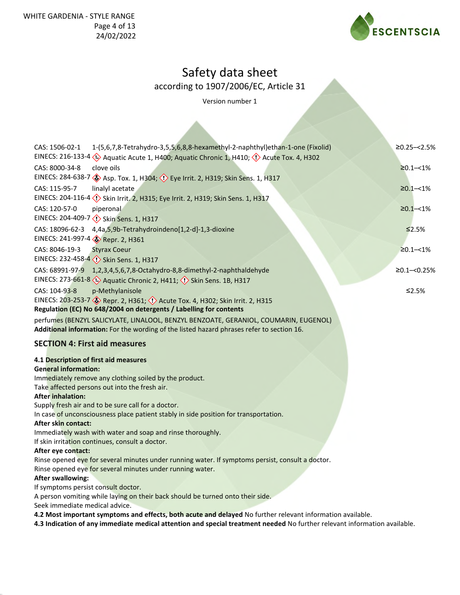

according to 1907/2006/EC, Article 31

Version number 1

| 1-(5,6,7,8-Tetrahydro-3,5,5,6,8,8-hexamethyl-2-naphthyl)ethan-1-one (Fixolid)<br>CAS: 1506-02-1                                                                                                                                                                                                  | $≥0.25 - < 2.5%$ |
|--------------------------------------------------------------------------------------------------------------------------------------------------------------------------------------------------------------------------------------------------------------------------------------------------|------------------|
| CAS: 8000-34-8<br>clove oils<br>EINECS: 284-638-7 Sep. Tox. 1, H304; $\Diamond$ Eye Irrit. 2, H319; Skin Sens. 1, H317                                                                                                                                                                           | $≥0.1 - < 1\%$   |
| CAS: 115-95-7<br>linalyl acetate                                                                                                                                                                                                                                                                 | $\geq 0.1 - 1\%$ |
| CAS: 120-57-0<br>piperonal<br>EINECS: 204-409-7 (1) Skin Sens. 1, H317                                                                                                                                                                                                                           | $\geq 0.1 - 1\%$ |
| CAS: 18096-62-3<br>4,4a,5,9b-Tetrahydroindeno[1,2-d]-1,3-dioxine<br>EINECS: 241-997-4 & Repr. 2, H361                                                                                                                                                                                            | ≤2.5%            |
| CAS: 8046-19-3<br><b>Styrax Coeur</b><br>EINECS: 232-458-4 Skin Sens. 1, H317                                                                                                                                                                                                                    | $≥0.1 - < 1\%$   |
| CAS: 68991-97-9<br>1,2,3,4,5,6,7,8-Octahydro-8,8-dimethyl-2-naphthaldehyde<br>EINECS: 273-661-8 (2) Aquatic Chronic 2, H411; (1) Skin Sens. 1B, H317                                                                                                                                             | $≥0.1 - <0.25%$  |
| CAS: 104-93-8<br>p-Methylanisole<br>EINECS: 203-253-7 & Repr. 2, H361; 4 Acute Tox. 4, H302; Skin Irrit. 2, H315<br>Regulation (EC) No 648/2004 on detergents / Labelling for contents                                                                                                           | ≤2.5%            |
| perfumes (BENZYL SALICYLATE, LINALOOL, BENZYL BENZOATE, GERANIOL, COUMARIN, EUGENOL)<br>Additional information: For the wording of the listed hazard phrases refer to section 16.                                                                                                                |                  |
| <b>SECTION 4: First aid measures</b>                                                                                                                                                                                                                                                             |                  |
| 4.1 Description of first aid measures<br><b>General information:</b>                                                                                                                                                                                                                             |                  |
| Immediately remove any clothing soiled by the product.<br>Take affected persons out into the fresh air.                                                                                                                                                                                          |                  |
| <b>After inhalation:</b><br>Supply fresh air and to be sure call for a doctor.                                                                                                                                                                                                                   |                  |
| In case of unconsciousness place patient stably in side position for transportation.<br>After skin contact:                                                                                                                                                                                      |                  |
| Immediately wash with water and soap and rinse thoroughly.<br>If skin irritation continues, consult a doctor.                                                                                                                                                                                    |                  |
| After eye contact:<br>Rinse opened eye for several minutes under running water. If symptoms persist, consult a doctor.                                                                                                                                                                           |                  |
| Rinse opened eye for several minutes under running water.                                                                                                                                                                                                                                        |                  |
| <b>After swallowing:</b><br>If symptoms persist consult doctor.                                                                                                                                                                                                                                  |                  |
| A person vomiting while laying on their back should be turned onto their side.<br>Seek immediate medical advice.                                                                                                                                                                                 |                  |
| $\mathbf{I}$ and $\mathbf{I}$ and $\mathbf{I}$ and $\mathbf{I}$ and $\mathbf{I}$ and $\mathbf{I}$ and $\mathbf{I}$ and $\mathbf{I}$ and $\mathbf{I}$ and $\mathbf{I}$ and $\mathbf{I}$ and $\mathbf{I}$ and $\mathbf{I}$ and $\mathbf{I}$ and $\mathbf{I}$ and $\mathbf{I}$ and $\mathbf{I}$ and |                  |

**4.2 Most important symptoms and effects, both acute and delayed** No further relevant information available. **4.3 Indication of any immediate medical attention and special treatment needed** No further relevant information available.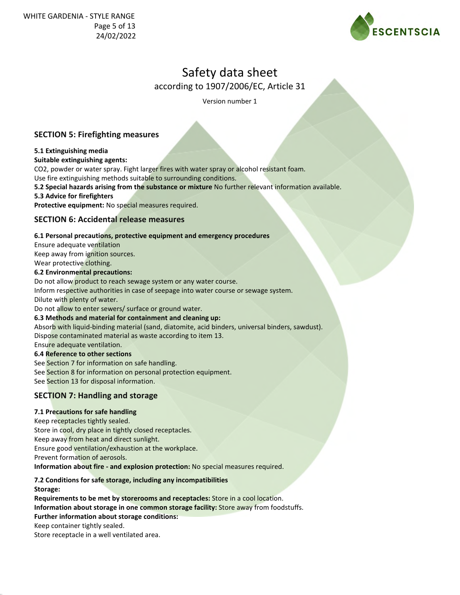

according to 1907/2006/EC, Article 31

Version number 1

### **SECTION 5: Firefighting measures**

#### **5.1 Extinguishing media**

#### **Suitable extinguishing agents:**

CO2, powder or water spray. Fight larger fires with water spray or alcohol resistant foam.

Use fire extinguishing methods suitable to surrounding conditions.

**5.2 Special hazards arising from the substance or mixture** No further relevant information available.

#### **5.3 Advice for firefighters**

**Protective equipment:** No special measures required.

### **SECTION 6: Accidental release measures**

#### **6.1 Personal precautions, protective equipment and emergency procedures**

Ensure adequate ventilation

Keep away from ignition sources.

Wear protective clothing.

**6.2 Environmental precautions:**

Do not allow product to reach sewage system or any water course.

Inform respective authorities in case of seepage into water course or sewage system.

Dilute with plenty of water.

Do not allow to enter sewers/ surface or ground water.

#### **6.3 Methods and material for containment and cleaning up:**

Absorb with liquid-binding material (sand, diatomite, acid binders, universal binders, sawdust). Dispose contaminated material as waste according to item 13.

Ensure adequate ventilation.

#### **6.4 Reference to other sections**

See Section 7 for information on safe handling. See Section 8 for information on personal protection equipment. See Section 13 for disposal information.

### **SECTION 7: Handling and storage**

#### **7.1 Precautions for safe handling**

Keep receptacles tightly sealed. Store in cool, dry place in tightly closed receptacles. Keep away from heat and direct sunlight. Ensure good ventilation/exhaustion at the workplace. Prevent formation of aerosols. **Information about fire - and explosion protection:** No special measures required.

#### **7.2 Conditions for safe storage, including any incompatibilities**

**Storage:**

**Requirements to be met by storerooms and receptacles:** Store in a cool location.

**Information about storage in one common storage facility:** Store away from foodstuffs.

#### **Further information about storage conditions:**

Keep container tightly sealed.

Store receptacle in a well ventilated area.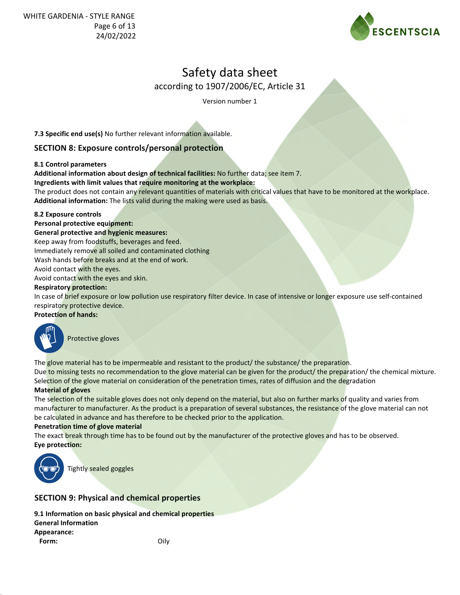

according to 1907/2006/EC, Article 31

Version number 1

**7.3 Specific end use(s)** No further relevant information available.

### **SECTION 8: Exposure controls/personal protection**

#### **8.1 Control parameters**

**Additional information about design of technical facilities:** No further data; see item 7.

**Ingredients with limit values that require monitoring at the workplace:**

The product does not contain any relevant quantities of materials with critical values that have to be monitored at the workplace. **Additional information:** The lists valid during the making were used as basis.

#### **8.2 Exposure controls**

#### **Personal protective equipment:**

**General protective and hygienic measures:**

Keep away from foodstuffs, beverages and feed.

Immediately remove all soiled and contaminated clothing

Wash hands before breaks and at the end of work.

Avoid contact with the eyes.

Avoid contact with the eyes and skin.

#### **Respiratory protection:**

In case of brief exposure or low pollution use respiratory filter device. In case of intensive or longer exposure use self-contained respiratory protective device.

#### **Protection of hands:**



Protective gloves

The glove material has to be impermeable and resistant to the product/ the substance/ the preparation.

Due to missing tests no recommendation to the glove material can be given for the product/ the preparation/ the chemical mixture. Selection of the glove material on consideration of the penetration times, rates of diffusion and the degradation

#### **Material of gloves**

The selection of the suitable gloves does not only depend on the material, but also on further marks of quality and varies from manufacturer to manufacturer. As the product is a preparation of several substances, the resistance of the glove material can not be calculated in advance and has therefore to be checked prior to the application.

#### **Penetration time of glove material**

The exact break through time has to be found out by the manufacturer of the protective gloves and has to be observed. **Eye protection:**



Tightly sealed goggles

## **SECTION 9: Physical and chemical properties**

**9.1 Information on basic physical and chemical properties General Information Appearance: Form:** Oily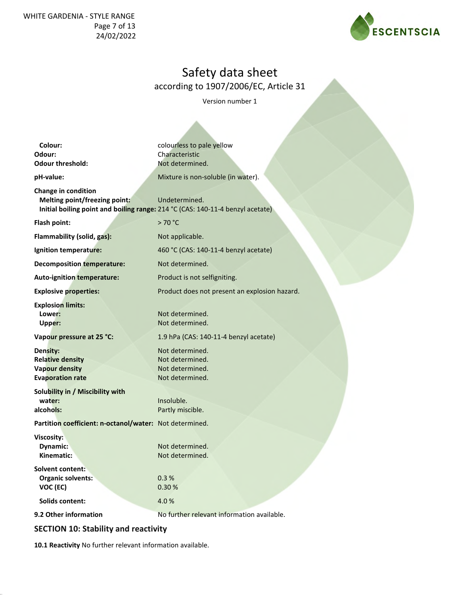WHITE GARDENIA - STYLE RANGE Page 7 of 13 24/02/2022



## Safety data sheet

according to 1907/2006/EC, Article 31

Version number 1

| Colour:                                                                                 | colourless to pale yellow                                                                       |
|-----------------------------------------------------------------------------------------|-------------------------------------------------------------------------------------------------|
| Odour:<br><b>Odour threshold:</b>                                                       | Characteristic<br>Not determined.                                                               |
|                                                                                         |                                                                                                 |
| pH-value:                                                                               | Mixture is non-soluble (in water).                                                              |
| <b>Change in condition</b><br>Melting point/freezing point:                             | Undetermined.<br>Initial boiling point and boiling range: 214 °C (CAS: 140-11-4 benzyl acetate) |
| Flash point:                                                                            | >70 °C                                                                                          |
| Flammability (solid, gas):                                                              | Not applicable.                                                                                 |
| Ignition temperature:                                                                   | 460 °C (CAS: 140-11-4 benzyl acetate)                                                           |
| <b>Decomposition temperature:</b>                                                       | Not determined.                                                                                 |
| Auto-ignition temperature:                                                              | Product is not selfigniting.                                                                    |
| <b>Explosive properties:</b>                                                            | Product does not present an explosion hazard.                                                   |
| <b>Explosion limits:</b><br>Lower:<br>Upper:                                            | Not determined.<br>Not determined.                                                              |
| Vapour pressure at 25 °C:                                                               | 1.9 hPa (CAS: 140-11-4 benzyl acetate)                                                          |
| Density:<br><b>Relative density</b><br><b>Vapour density</b><br><b>Evaporation rate</b> | Not determined.<br>Not determined.<br>Not determined.<br>Not determined.                        |
| Solubility in / Miscibility with<br>water:<br>alcohols:                                 | Insoluble.<br>Partly miscible.                                                                  |
| Partition coefficient: n-octanol/water: Not determined.                                 |                                                                                                 |
| Viscosity:<br>Dynamic:<br>Kinematic:                                                    | Not determined.<br>Not determined.                                                              |
| <b>Solvent content:</b><br>Organic solvents:<br>VOC (EC)                                | 0.3%<br>0.30%                                                                                   |
| Solids content:                                                                         | 4.0%                                                                                            |
| 9.2 Other information                                                                   | No further relevant information available.                                                      |

## **SECTION 10: Stability and reactivity**

**10.1 Reactivity** No further relevant information available.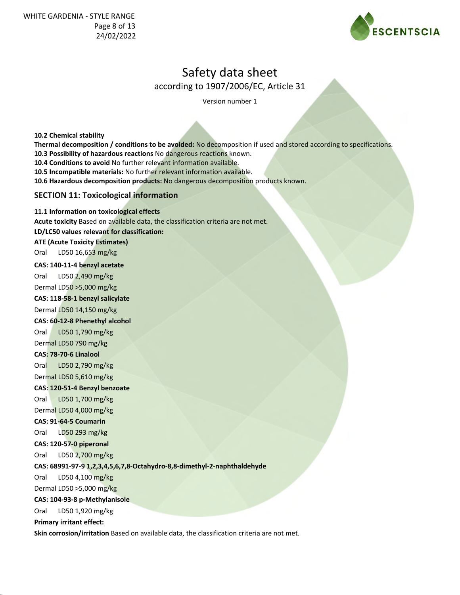

according to 1907/2006/EC, Article 31

Version number 1

**10.2 Chemical stability Thermal decomposition / conditions to be avoided:** No decomposition if used and stored according to specifications. **10.3 Possibility of hazardous reactions** No dangerous reactions known. **10.4 Conditions to avoid** No further relevant information available. **10.5 Incompatible materials:** No further relevant information available. **10.6 Hazardous decomposition products:** No dangerous decomposition products known. **SECTION 11: Toxicological information 11.1 Information on toxicological effects Acute toxicity** Based on available data, the classification criteria are not met. **LD/LC50 values relevant for classification: ATE (Acute Toxicity Estimates)** Oral LD50 16,653 mg/kg **CAS: 140-11-4 benzyl acetate** Oral LD50 2,490 mg/kg Dermal LD50 >5,000 mg/kg **CAS: 118-58-1 benzyl salicylate** Dermal LD50 14,150 mg/kg **CAS: 60-12-8 Phenethyl alcohol** Oral LD50 1,790 mg/kg Dermal LD50 790 mg/kg **CAS: 78-70-6 Linalool** Oral LD50 2,790 mg/kg Dermal LD50 5,610 mg/kg **CAS: 120-51-4 Benzyl benzoate** Oral LD50 1,700 mg/kg Dermal LD50 4,000 mg/kg **CAS: 91-64-5 Coumarin** Oral LD50 293 mg/kg **CAS: 120-57-0 piperonal** Oral LD50 2,700 mg/kg **CAS: 68991-97-9 1,2,3,4,5,6,7,8-Octahydro-8,8-dimethyl-2-naphthaldehyde** Oral LD50 4,100 mg/kg Dermal LD50 >5,000 mg/kg **CAS: 104-93-8 p-Methylanisole** Oral LD50 1,920 mg/kg **Primary irritant effect: Skin corrosion/irritation** Based on available data, the classification criteria are not met.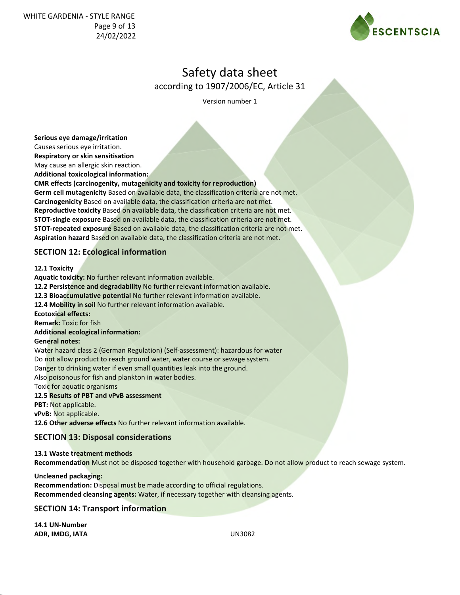WHITE GARDENIA - STYLE RANGE Page 9 of 13 24/02/2022



## Safety data sheet

according to 1907/2006/EC, Article 31

Version number 1

**Serious eye damage/irritation**

Causes serious eye irritation.

**Respiratory or skin sensitisation** May cause an allergic skin reaction.

**Additional toxicological information:**

**CMR effects (carcinogenity, mutagenicity and toxicity for reproduction) Germ cell mutagenicity** Based on available data, the classification criteria are not met.

**Carcinogenicity** Based on available data, the classification criteria are not met. **Reproductive toxicity** Based on available data, the classification criteria are not met. **STOT-single exposure** Based on available data, the classification criteria are not met. **STOT-repeated exposure** Based on available data, the classification criteria are not met. **Aspiration hazard** Based on available data, the classification criteria are not met.

### **SECTION 12: Ecological information**

#### **12.1 Toxicity**

**Aquatic toxicity:** No further relevant information available. **12.2 Persistence and degradability** No further relevant information available. **12.3 Bioaccumulative potential** No further relevant information available. **12.4 Mobility in soil** No further relevant information available. **Ecotoxical effects: Remark:** Toxic for fish **Additional ecological information: General notes:** Water hazard class 2 (German Regulation) (Self-assessment): hazardous for water Do not allow product to reach ground water, water course or sewage system. Danger to drinking water if even small quantities leak into the ground. Also poisonous for fish and plankton in water bodies.

Toxic for aquatic organisms

#### **12.5 Results of PBT and vPvB assessment**

**PBT:** Not applicable.

**vPvB:** Not applicable.

**12.6 Other adverse effects** No further relevant information available.

#### **SECTION 13: Disposal considerations**

**13.1 Waste treatment methods Recommendation** Must not be disposed together with household garbage. Do not allow product to reach sewage system.

**Uncleaned packaging: Recommendation:** Disposal must be made according to official regulations. **Recommended cleansing agents:** Water, if necessary together with cleansing agents.

#### **SECTION 14: Transport information**

**14.1 UN-Number ADR, IMDG, IATA** UN3082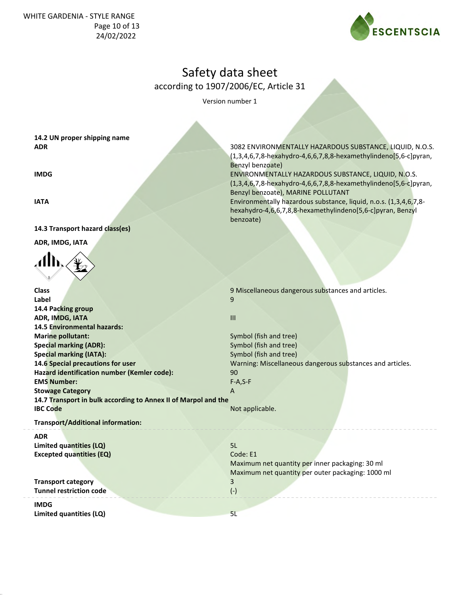WHITE GARDENIA - STYLE RANGE Page 10 of 13 24/02/2022



3082 ENVIRONMENTALLY HAZARDOUS SUBSTANCE, LIQUID, N.O.S. (1,3,4,6,7,8-hexahydro-4,6,6,7,8,8-hexamethylindeno[5,6-c]pyran,

ENVIRONMENTALLY HAZARDOUS SUBSTANCE, LIQUID, N.O.S. (1,3,4,6,7,8-hexahydro-4,6,6,7,8,8-hexamethylindeno[5,6-c]pyran,

Environmentally hazardous substance, liquid, n.o.s. (1,3,4,6,7,8 hexahydro-4,6,6,7,8,8-hexamethylindeno[5,6-c]pyran, Benzyl

Benzyl benzoate), MARINE POLLUTANT

## Safety data sheet

according to 1907/2006/EC, Article 31

Benzyl benzoate)

benzoate)

Version number 1

**14.2 UN proper shipping name ADR**

**IMDG**

**IATA**

#### **14.3 Transport hazard class(es)**

**ADR, IMDG, IATA**



| <b>Class</b>                                                   | 9 Miscellaneous dangerous substances and articles.        |
|----------------------------------------------------------------|-----------------------------------------------------------|
| Label                                                          | 9                                                         |
| 14.4 Packing group                                             |                                                           |
| <b>ADR, IMDG, IATA</b>                                         | III                                                       |
| 14.5 Environmental hazards:                                    |                                                           |
| <b>Marine pollutant:</b>                                       | Symbol (fish and tree)                                    |
| <b>Special marking (ADR):</b>                                  | Symbol (fish and tree)                                    |
| <b>Special marking (IATA):</b>                                 | Symbol (fish and tree)                                    |
| 14.6 Special precautions for user                              | Warning: Miscellaneous dangerous substances and articles. |
| Hazard identification number (Kemler code):                    | 90                                                        |
| <b>EMS Number:</b>                                             | $F-A, S-F$                                                |
| <b>Stowage Category</b>                                        | A                                                         |
| 14.7 Transport in bulk according to Annex II of Marpol and the |                                                           |
| <b>IBC Code</b>                                                | Not applicable.                                           |
| <b>Transport/Additional information:</b>                       |                                                           |
| <b>ADR</b>                                                     |                                                           |
|                                                                |                                                           |
| Limited quantities (LQ)                                        | 5L                                                        |
| <b>Excepted quantities (EQ)</b>                                | Code: E1                                                  |
|                                                                | Maximum net quantity per inner packaging: 30 ml           |
|                                                                | Maximum net quantity per outer packaging: 1000 ml         |
| <b>Transport category</b>                                      | 3                                                         |
| <b>Tunnel restriction code</b>                                 | $(-)$                                                     |
| <b>IMDG</b>                                                    |                                                           |

**Limited quantities (LQ)** 5L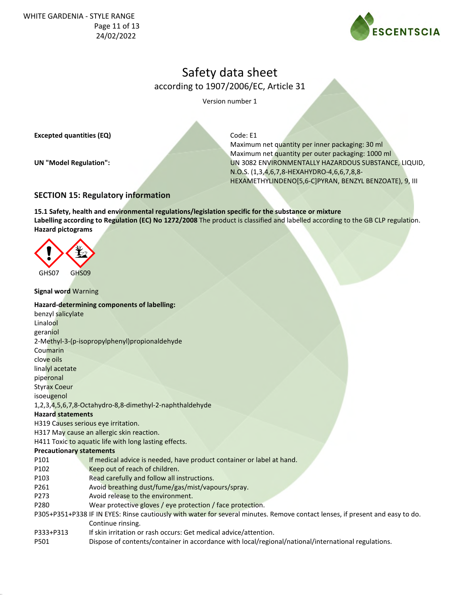WHITE GARDENIA - STYLE RANGE Page 11 of 13 24/02/2022



## Safety data sheet

according to 1907/2006/EC, Article 31

Version number 1

**Excepted quantities (EQ)**

**UN "Model Regulation":**

Code: E1

Maximum net quantity per inner packaging: 30 ml Maximum net quantity per outer packaging: 1000 ml UN 3082 ENVIRONMENTALLY HAZARDOUS SUBSTANCE, LIQUID, N.O.S. (1,3,4,6,7,8-HEXAHYDRO-4,6,6,7,8,8- HEXAMETHYLINDENO[5,6-C]PYRAN, BENZYL BENZOATE), 9, III

### **SECTION 15: Regulatory information**

**15.1 Safety, health and environmental regulations/legislation specific for the substance or mixture Labelling according to Regulation (EC) No 1272/2008** The product is classified and labelled according to the GB CLP regulation. **Hazard pictograms**



#### **Signal word** Warning

#### **Hazard-determining components of labelling:**

| benzyl salicylate               |                                                                                                                               |
|---------------------------------|-------------------------------------------------------------------------------------------------------------------------------|
| Linalool                        |                                                                                                                               |
| geraniol                        |                                                                                                                               |
|                                 | 2-Methyl-3-(p-isopropylphenyl) propional dehy de                                                                              |
| Coumarin                        |                                                                                                                               |
| clove oils                      |                                                                                                                               |
| linalyl acetate                 |                                                                                                                               |
| piperonal                       |                                                                                                                               |
| Styrax Coeur                    |                                                                                                                               |
| isoeugenol                      |                                                                                                                               |
|                                 | 1,2,3,4,5,6,7,8-Octahydro-8,8-dimethyl-2-naphthaldehyde                                                                       |
| <b>Hazard statements</b>        |                                                                                                                               |
|                                 | H319 Causes serious eye irritation.                                                                                           |
|                                 | H317 May cause an allergic skin reaction.                                                                                     |
|                                 | H411 Toxic to aquatic life with long lasting effects.                                                                         |
| <b>Precautionary statements</b> |                                                                                                                               |
| P101                            | If medical advice is needed, have product container or label at hand.                                                         |
| P102                            | Keep out of reach of children.                                                                                                |
| P103                            | Read carefully and follow all instructions.                                                                                   |
| P261                            | Avoid breathing dust/fume/gas/mist/vapours/spray.                                                                             |
| P273                            | Avoid release to the environment.                                                                                             |
| P280                            | Wear protective gloves / eye protection / face protection.                                                                    |
|                                 | P305+P351+P338 IF IN EYES: Rinse cautiously with water for several minutes. Remove contact lenses, if present and easy to do. |
|                                 | Continue rinsing.                                                                                                             |
| P333+P313                       | If skin irritation or rash occurs: Get medical advice/attention.                                                              |

P501 Dispose of contents/container in accordance with local/regional/national/international regulations.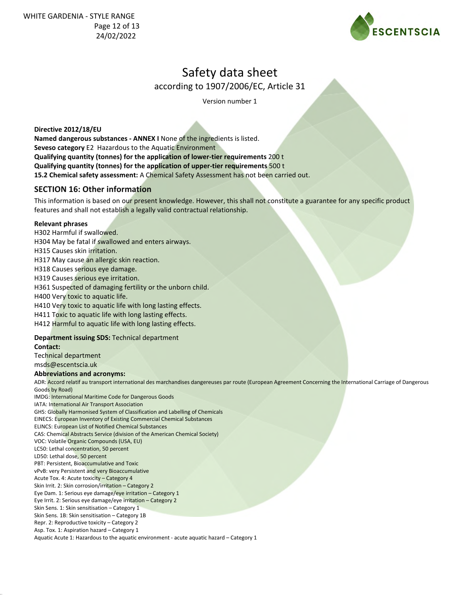WHITE GARDENIA - STYLE RANGE Page 12 of 13 24/02/2022



## Safety data sheet

according to 1907/2006/EC, Article 31

Version number 1

**Directive 2012/18/EU**

**Named dangerous substances - ANNEX I** None of the ingredients is listed. **Seveso category** E2 Hazardous to the Aquatic Environment **Qualifying quantity (tonnes) for the application of lower-tier requirements** 200 t **Qualifying quantity (tonnes) for the application of upper-tier requirements** 500 t **15.2 Chemical safety assessment:** A Chemical Safety Assessment has not been carried out.

### **SECTION 16: Other information**

This information is based on our present knowledge. However, this shall not constitute a guarantee for any specific product features and shall not establish a legally valid contractual relationship.

#### **Relevant phrases**

H302 Harmful if swallowed.

H304 May be fatal if swallowed and enters airways.

H315 Causes skin irritation.

H317 May cause an allergic skin reaction.

H318 Causes serious eye damage.

H319 Causes serious eye irritation.

H361 Suspected of damaging fertility or the unborn child.

H400 Very toxic to aquatic life.

H410 Very toxic to aquatic life with long lasting effects.

H411 Toxic to aquatic life with long lasting effects.

H412 Harmful to aquatic life with long lasting effects.

#### **Department issuing SDS:** Technical department

**Contact:**

Technical department msds@escentscia.uk

**Abbreviations and acronyms:**

ADR: Accord relatif au transport international des marchandises dangereuses par route (European Agreement Concerning the International Carriage of Dangerous Goods by Road)

IMDG: International Maritime Code for Dangerous Goods

IATA: International Air Transport Association

GHS: Globally Harmonised System of Classification and Labelling of Chemicals

EINECS: European Inventory of Existing Commercial Chemical Substances

ELINCS: European List of Notified Chemical Substances CAS: Chemical Abstracts Service (division of the American Chemical Society)

VOC: Volatile Organic Compounds (USA, EU)

LC50: Lethal concentration, 50 percent

LD50: Lethal dose, 50 percent

PBT: Persistent, Bioaccumulative and Toxic

vPvB: very Persistent and very Bioaccumulative

Acute Tox. 4: Acute toxicity – Category 4

Skin Irrit. 2: Skin corrosion/irritation – Category 2

Eye Dam. 1: Serious eye damage/eye irritation – Category 1

Eye Irrit. 2: Serious eye damage/eye irritation – Category 2

Skin Sens. 1: Skin sensitisation – Category 1

Skin Sens. 1B: Skin sensitisation – Category 1B

Repr. 2: Reproductive toxicity – Category 2 Asp. Tox. 1: Aspiration hazard – Category 1

Aquatic Acute 1: Hazardous to the aquatic environment - acute aquatic hazard – Category 1